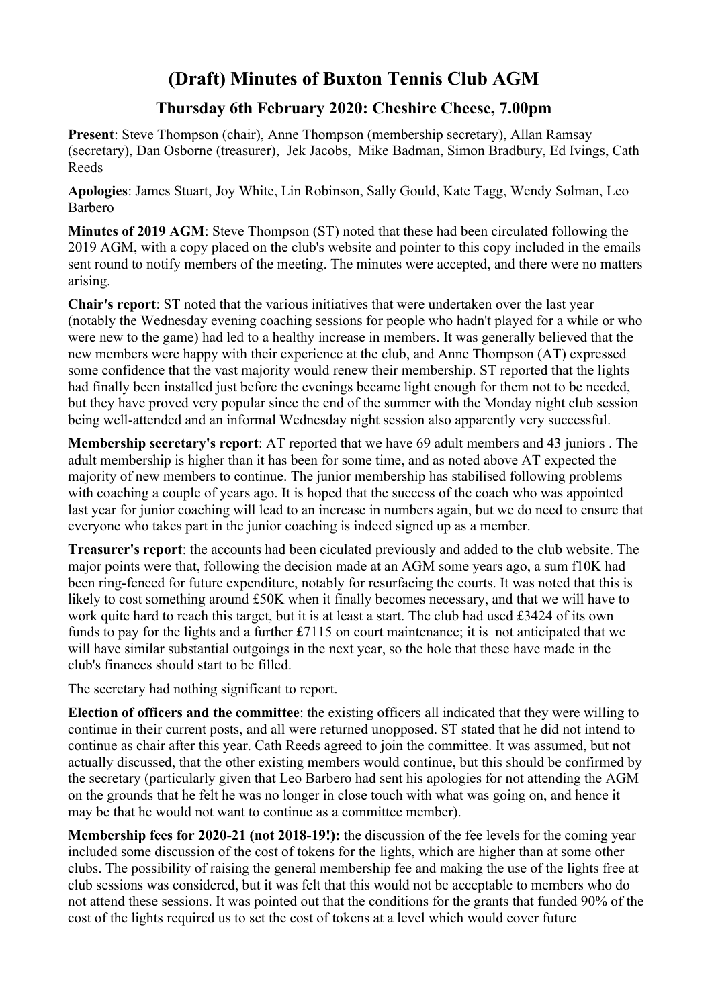## **(Draft) Minutes of Buxton Tennis Club AGM**

## **Thursday 6th February 2020: Cheshire Cheese, 7.00pm**

**Present**: Steve Thompson (chair), Anne Thompson (membership secretary), Allan Ramsay (secretary), Dan Osborne (treasurer), Jek Jacobs, Mike Badman, Simon Bradbury, Ed Ivings, Cath Reeds

**Apologies**: James Stuart, Joy White, Lin Robinson, Sally Gould, Kate Tagg, Wendy Solman, Leo Barbero

**Minutes of 2019 AGM**: Steve Thompson (ST) noted that these had been circulated following the 2019 AGM, with a copy placed on the club's website and pointer to this copy included in the emails sent round to notify members of the meeting. The minutes were accepted, and there were no matters arising.

**Chair's report**: ST noted that the various initiatives that were undertaken over the last year (notably the Wednesday evening coaching sessions for people who hadn't played for a while or who were new to the game) had led to a healthy increase in members. It was generally believed that the new members were happy with their experience at the club, and Anne Thompson (AT) expressed some confidence that the vast majority would renew their membership. ST reported that the lights had finally been installed just before the evenings became light enough for them not to be needed. but they have proved very popular since the end of the summer with the Monday night club session being well-attended and an informal Wednesday night session also apparently very successful.

**Membership secretary's report**: AT reported that we have 69 adult members and 43 juniors . The adult membership is higher than it has been for some time, and as noted above AT expected the majority of new members to continue. The junior membership has stabilised following problems with coaching a couple of years ago. It is hoped that the success of the coach who was appointed last year for junior coaching will lead to an increase in numbers again, but we do need to ensure that everyone who takes part in the junior coaching is indeed signed up as a member.

**Treasurer's report**: the accounts had been ciculated previously and added to the club website. The major points were that, following the decision made at an AGM some years ago, a sum f10K had been ring-fenced for future expenditure, notably for resurfacing the courts. It was noted that this is likely to cost something around £50K when it finally becomes necessary, and that we will have to work quite hard to reach this target, but it is at least a start. The club had used £3424 of its own funds to pay for the lights and a further £7115 on court maintenance; it is not anticipated that we will have similar substantial outgoings in the next year, so the hole that these have made in the club's finances should start to be filled.

The secretary had nothing significant to report.

**Election of officers and the committee**: the existing officers all indicated that they were willing to continue in their current posts, and all were returned unopposed. ST stated that he did not intend to continue as chair after this year. Cath Reeds agreed to join the committee. It was assumed, but not actually discussed, that the other existing members would continue, but this should be confirmed by the secretary (particularly given that Leo Barbero had sent his apologies for not attending the AGM on the grounds that he felt he was no longer in close touch with what was going on, and hence it may be that he would not want to continue as a committee member).

**Membership fees for 2020-21 (not 2018-19!):** the discussion of the fee levels for the coming year included some discussion of the cost of tokens for the lights, which are higher than at some other clubs. The possibility of raising the general membership fee and making the use of the lights free at club sessions was considered, but it was felt that this would not be acceptable to members who do not attend these sessions. It was pointed out that the conditions for the grants that funded 90% of the cost of the lights required us to set the cost of tokens at a level which would cover future